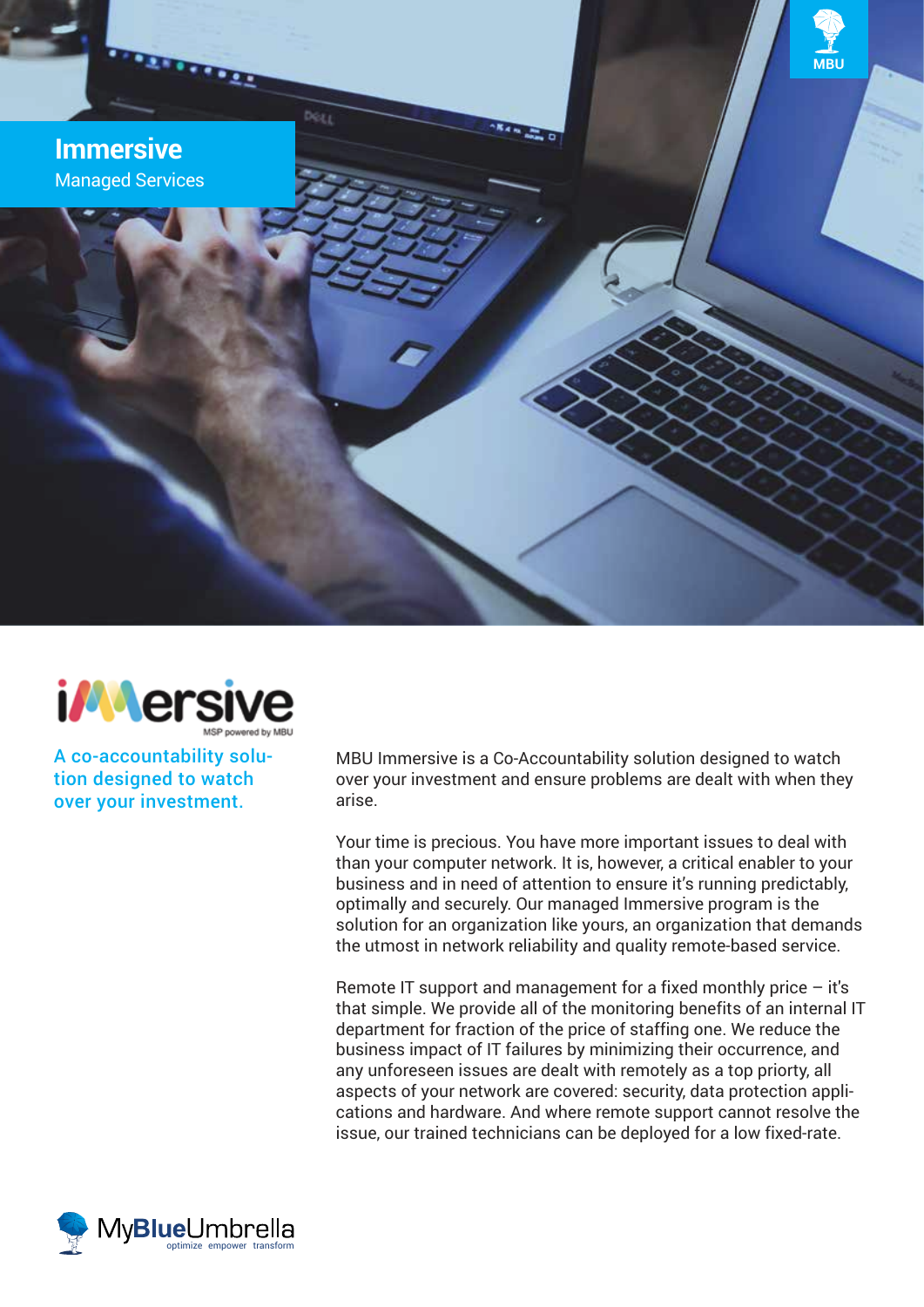



A co-accountability solution designed to watch over your investment.

MBU Immersive is a Co-Accountability solution designed to watch over your investment and ensure problems are dealt with when they arise.

Your time is precious. You have more important issues to deal with than your computer network. It is, however, a critical enabler to your business and in need of attention to ensure it's running predictably, optimally and securely. Our managed Immersive program is the solution for an organization like yours, an organization that demands the utmost in network reliability and quality remote-based service.

Remote IT support and management for a fixed monthly price – it's that simple. We provide all of the monitoring benefits of an internal IT department for fraction of the price of staffing one. We reduce the business impact of IT failures by minimizing their occurrence, and any unforeseen issues are dealt with remotely as a top priorty, all aspects of your network are covered: security, data protection applications and hardware. And where remote support cannot resolve the issue, our trained technicians can be deployed for a low fixed-rate.

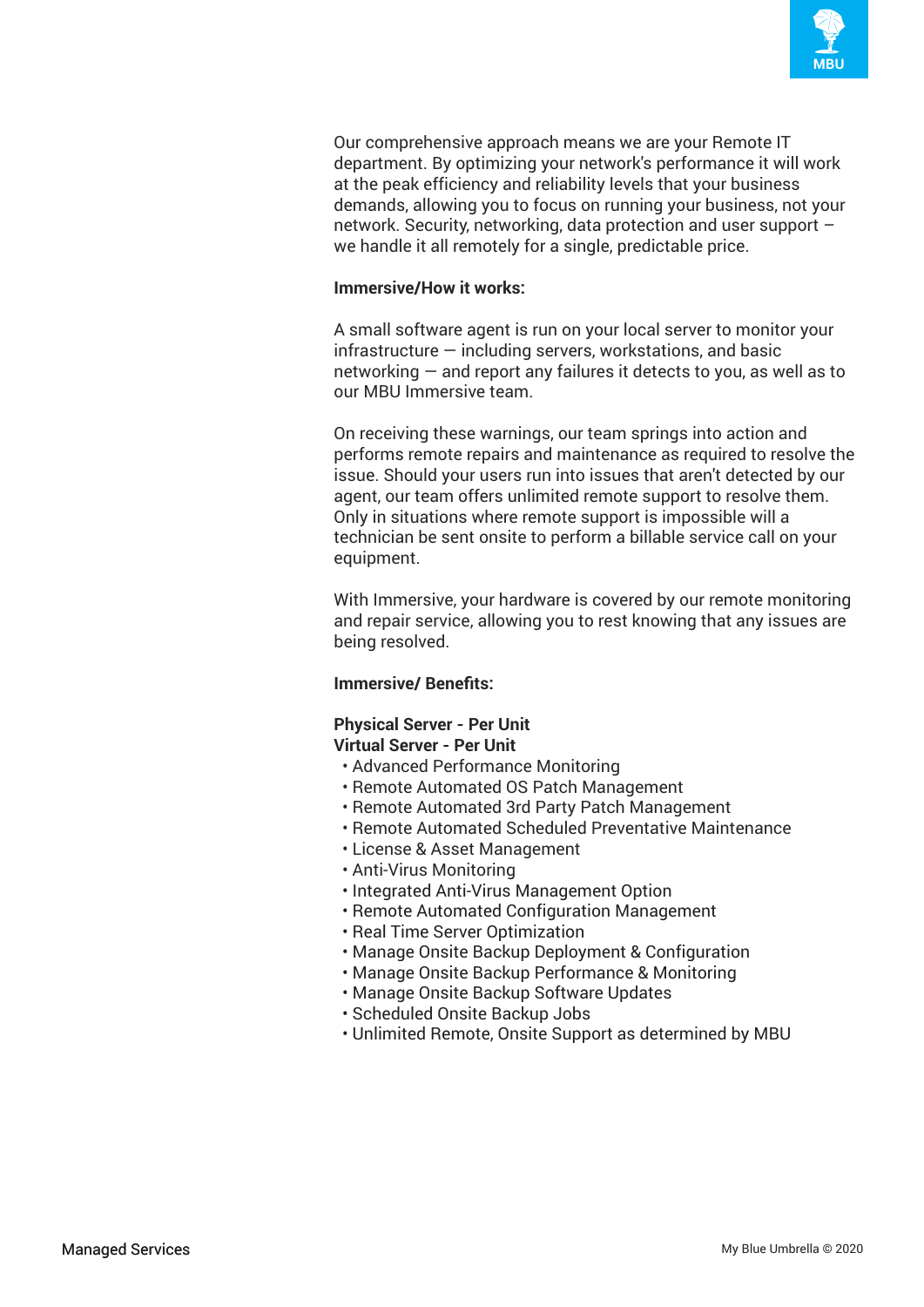

Our comprehensive approach means we are your Remote IT department. By optimizing your network's performance it will work at the peak efficiency and reliability levels that your business demands, allowing you to focus on running your business, not your network. Security, networking, data protection and user support – we handle it all remotely for a single, predictable price.

### **Immersive/How it works:**

A small software agent is run on your local server to monitor your infrastructure — including servers, workstations, and basic networking — and report any failures it detects to you, as well as to our MBU Immersive team.

On receiving these warnings, our team springs into action and performs remote repairs and maintenance as required to resolve the issue. Should your users run into issues that aren't detected by our agent, our team offers unlimited remote support to resolve them. Only in situations where remote support is impossible will a technician be sent onsite to perform a billable service call on your equipment.

With Immersive, your hardware is covered by our remote monitoring and repair service, allowing you to rest knowing that any issues are being resolved.

# **Immersive/ Benefits:**

#### **Physical Server - Per Unit Virtual Server - Per Unit**

- Advanced Performance Monitoring
- Remote Automated OS Patch Management
- Remote Automated 3rd Party Patch Management
- Remote Automated Scheduled Preventative Maintenance
- License & Asset Management
- Anti-Virus Monitoring
- Integrated Anti-Virus Management Option
- Remote Automated Configuration Management
- Real Time Server Optimization
- Manage Onsite Backup Deployment & Configuration
- Manage Onsite Backup Performance & Monitoring
- Manage Onsite Backup Software Updates
- Scheduled Onsite Backup Jobs
- Unlimited Remote, Onsite Support as determined by MBU